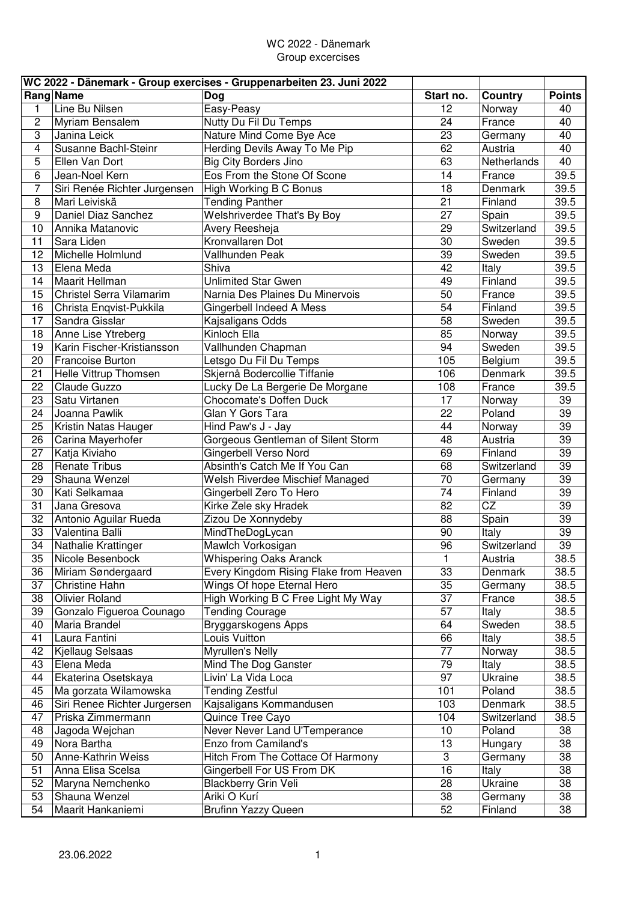## WC 2022 - Dänemark Group excercises

|                         | WC 2022 - Dänemark - Group exercises - Gruppenarbeiten 23. Juni 2022 |                                        |                 |                |                   |  |  |  |  |
|-------------------------|----------------------------------------------------------------------|----------------------------------------|-----------------|----------------|-------------------|--|--|--|--|
|                         | Rang Name                                                            | Dog                                    | Start no.       | <b>Country</b> | <b>Points</b>     |  |  |  |  |
| 1                       | Line Bu Nilsen                                                       | Easy-Peasy                             | 12              | Norway         | 40                |  |  |  |  |
| $\overline{c}$          | Myriam Bensalem                                                      | Nutty Du Fil Du Temps                  | 24              | France         | 40                |  |  |  |  |
| 3                       | Janina Leick                                                         | Nature Mind Come Bye Ace               | 23              | Germany        | 40                |  |  |  |  |
| $\overline{\mathbf{4}}$ | Susanne Bachl-Steinr                                                 | Herding Devils Away To Me Pip          | 62              | Austria        | 40                |  |  |  |  |
| 5                       | Ellen Van Dort                                                       | <b>Big City Borders Jino</b>           | 63              | Netherlands    | 40                |  |  |  |  |
| 6                       | Jean-Noel Kern                                                       | Eos From the Stone Of Scone            | 14              | France         | 39.5              |  |  |  |  |
| $\overline{7}$          | Siri Renée Richter Jurgensen                                         | <b>High Working B C Bonus</b>          | 18              | Denmark        | 39.5              |  |  |  |  |
| 8                       | Mari Leiviskä                                                        | <b>Tending Panther</b>                 | 21              | Finland        | 39.5              |  |  |  |  |
| $\boldsymbol{9}$        | Daniel Diaz Sanchez                                                  | Welshriverdee That's By Boy            | 27              | Spain          | 39.5              |  |  |  |  |
| 10                      | Annika Matanovic                                                     | Avery Reesheja                         | 29              | Switzerland    | 39.5              |  |  |  |  |
| 11                      | Sara Liden                                                           | Kronvallaren Dot                       | 30              | Sweden         | 39.5              |  |  |  |  |
| 12                      | Michelle Holmlund                                                    | Vallhunden Peak                        | 39              | Sweden         | 39.5              |  |  |  |  |
| 13                      | Elena Meda                                                           | Shiva                                  | 42              | Italy          | 39.5              |  |  |  |  |
| 14                      | Maarit Hellman                                                       | <b>Unlimited Star Gwen</b>             | 49              | Finland        | 39.5              |  |  |  |  |
| 15                      | Christel Serra Vilamarim                                             | Narnia Des Plaines Du Minervois        | 50              | France         | 39.5              |  |  |  |  |
| 16                      | Christa Enqvist-Pukkila                                              | Gingerbell Indeed A Mess               | 54              | Finland        | 39.5              |  |  |  |  |
| 17                      | Sandra Gisslar                                                       | Kajsaligans Odds                       | 58              | Sweden         | 39.5              |  |  |  |  |
| 18                      | Anne Lise Ytreberg                                                   | Kinloch Ella                           | 85              |                | 39.5              |  |  |  |  |
|                         |                                                                      |                                        | 94              | Norway         | 39.5              |  |  |  |  |
| 19                      | Karin Fischer-Kristiansson                                           | Vallhunden Chapman                     |                 | Sweden         |                   |  |  |  |  |
| 20                      | <b>Francoise Burton</b>                                              | Letsgo Du Fil Du Temps                 | 105             | Belgium        | 39.5              |  |  |  |  |
| 21                      | Helle Vittrup Thomsen                                                | Skjernå Bodercollie Tiffanie           | 106             | Denmark        | 39.5              |  |  |  |  |
| 22                      | Claude Guzzo                                                         | Lucky De La Bergerie De Morgane        | 108             | France         | 39.5              |  |  |  |  |
| 23                      | Satu Virtanen                                                        | Chocomate's Doffen Duck                | 17              | Norway         | 39                |  |  |  |  |
| 24                      | Joanna Pawlik                                                        | Glan Y Gors Tara                       | 22              | Poland         | 39                |  |  |  |  |
| 25                      | Kristin Natas Hauger                                                 | Hind Paw's J - Jay                     | 44              | Norway         | 39                |  |  |  |  |
| 26                      | Carina Mayerhofer                                                    | Gorgeous Gentleman of Silent Storm     | 48              | Austria        | 39                |  |  |  |  |
| 27                      | Katja Kiviaho                                                        | Gingerbell Verso Nord                  | 69              | Finland        | 39                |  |  |  |  |
| 28                      | <b>Renate Tribus</b>                                                 | Absinth's Catch Me If You Can          | 68              | Switzerland    | 39                |  |  |  |  |
| 29                      | Shauna Wenzel                                                        | Welsh Riverdee Mischief Managed        | 70              | Germany        | 39                |  |  |  |  |
| 30                      | Kati Selkamaa                                                        | Gingerbell Zero To Hero                | $\overline{74}$ | Finland        | $\overline{39}$   |  |  |  |  |
| 31                      | Jana Gresova                                                         | Kirke Zele sky Hradek                  | $\overline{82}$ | CZ             | $\overline{39}$   |  |  |  |  |
| $\overline{32}$         | Antonio Aguilar Rueda                                                | Zizou De Xonnydeby                     | 88              | Spain          | $\overline{39}$   |  |  |  |  |
| 33                      | Valentina Balli                                                      | MindTheDogLycan                        | 90              | Italy          | 39                |  |  |  |  |
| 34                      | Nathalie Krattinger                                                  | Mawlch Vorkosigan                      | 96              | Switzerland    | 39                |  |  |  |  |
| 35                      | Nicole Besenbock                                                     | <b>Whispering Oaks Aranck</b>          | L.              | Austria        | 38.5              |  |  |  |  |
| 36                      | Miriam Søndergaard                                                   | Every Kingdom Rising Flake from Heaven | 33              | Denmark        | 38.5              |  |  |  |  |
| 37                      | Christine Hahn                                                       | Wings Of hope Eternal Hero             | 35              | Germany        | 38.5              |  |  |  |  |
| 38                      | <b>Olivier Roland</b>                                                | High Working B C Free Light My Way     | 37              | France         | 38.5              |  |  |  |  |
| 39                      | Gonzalo Figueroa Counago                                             | <b>Tending Courage</b>                 | 57              | Italy          | 38.5              |  |  |  |  |
| 40                      | Maria Brandel                                                        | Bryggarskogens Apps                    | 64              | Sweden         | $\overline{38.5}$ |  |  |  |  |
| 41                      | Laura Fantini                                                        | Louis Vuitton                          | 66              | Italy          | 38.5              |  |  |  |  |
| 42                      | Kjellaug Selsaas                                                     | Myrullen's Nelly                       | 77              | Norway         | 38.5              |  |  |  |  |
| 43                      | Elena Meda                                                           | Mind The Dog Ganster                   | 79              | Italy          | 38.5              |  |  |  |  |
| 44                      | Ekaterina Osetskaya                                                  | Livin' La Vida Loca                    | 97              | Ukraine        | 38.5              |  |  |  |  |
| 45                      | Ma gorzata Wilamowska                                                | <b>Tending Zestful</b>                 | 101             | Poland         | 38.5              |  |  |  |  |
| 46                      | Siri Renee Richter Jurgersen                                         | Kajsaligans Kommandusen                | 103             | Denmark        | 38.5              |  |  |  |  |
| 47                      | Priska Zimmermann                                                    | Quince Tree Cayo                       | 104             | Switzerland    | 38.5              |  |  |  |  |
| 48                      | Jagoda Wejchan                                                       | Never Never Land U'Temperance          | 10              | Poland         | 38                |  |  |  |  |
| 49                      | Nora Bartha                                                          | Enzo from Camiland's                   | 13              | Hungary        | 38                |  |  |  |  |
| 50                      | Anne-Kathrin Weiss                                                   | Hitch From The Cottace Of Harmony      | 3               | Germany        | 38                |  |  |  |  |
| 51                      | Anna Elisa Scelsa                                                    | Gingerbell For US From DK              | 16              | Italy          | 38                |  |  |  |  |
| 52                      | Maryna Nemchenko                                                     | Blackberry Grin Veli                   | 28              | Ukraine        | 38                |  |  |  |  |
| 53                      | Shauna Wenzel                                                        | Ariki O Kurí                           | 38              | Germany        | 38                |  |  |  |  |
| 54                      | Maarit Hankaniemi                                                    | <b>Brufinn Yazzy Queen</b>             | 52              | Finland        | 38                |  |  |  |  |
|                         |                                                                      |                                        |                 |                |                   |  |  |  |  |